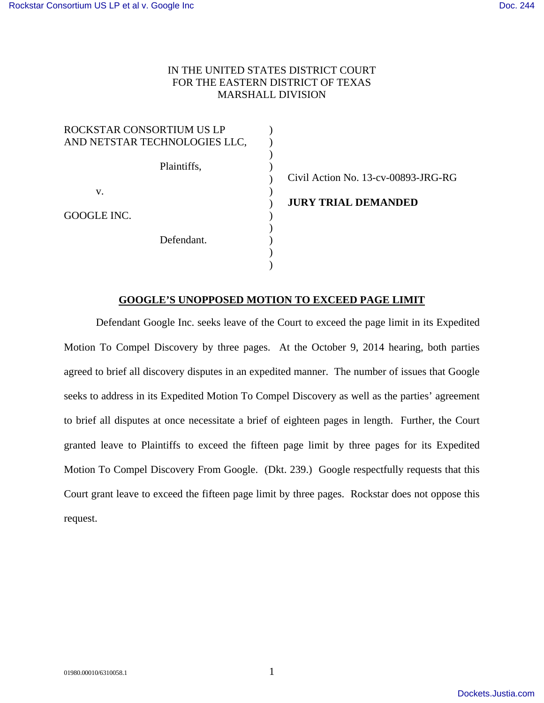## IN THE UNITED STATES DISTRICT COURT FOR THE EASTERN DISTRICT OF TEXAS MARSHALL DIVISION

| ROCKSTAR CONSORTIUM US LP     |                                     |
|-------------------------------|-------------------------------------|
| AND NETSTAR TECHNOLOGIES LLC, |                                     |
| Plaintiffs,                   |                                     |
|                               | Civil Action No. 13-cv-00893-JRG-RG |
| V.                            |                                     |
|                               | <b>JURY TRIAL DEMANDED</b>          |
| GOOGLE INC.                   |                                     |
| Defendant.                    |                                     |
|                               |                                     |
|                               |                                     |

## **GOOGLE'S UNOPPOSED MOTION TO EXCEED PAGE LIMIT**

Defendant Google Inc. seeks leave of the Court to exceed the page limit in its Expedited Motion To Compel Discovery by three pages. At the October 9, 2014 hearing, both parties agreed to brief all discovery disputes in an expedited manner. The number of issues that Google seeks to address in its Expedited Motion To Compel Discovery as well as the parties' agreement to brief all disputes at once necessitate a brief of eighteen pages in length. Further, the Court granted leave to Plaintiffs to exceed the fifteen page limit by three pages for its Expedited Motion To Compel Discovery From Google. (Dkt. 239.) Google respectfully requests that this Court grant leave to exceed the fifteen page limit by three pages. Rockstar does not oppose this request.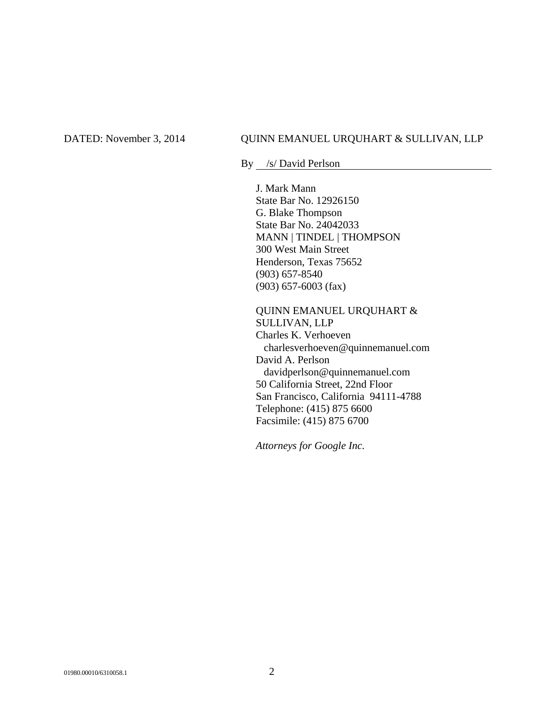## DATED: November 3, 2014 QUINN EMANUEL URQUHART & SULLIVAN, LLP

By /s/ David Perlson

J. Mark Mann State Bar No. 12926150 G. Blake Thompson State Bar No. 24042033 MANN | TINDEL | THOMPSON 300 West Main Street Henderson, Texas 75652 (903) 657-8540 (903) 657-6003 (fax)

QUINN EMANUEL URQUHART & SULLIVAN, LLP Charles K. Verhoeven charlesverhoeven@quinnemanuel.com David A. Perlson davidperlson@quinnemanuel.com 50 California Street, 22nd Floor San Francisco, California 94111-4788 Telephone: (415) 875 6600 Facsimile: (415) 875 6700

*Attorneys for Google Inc.*